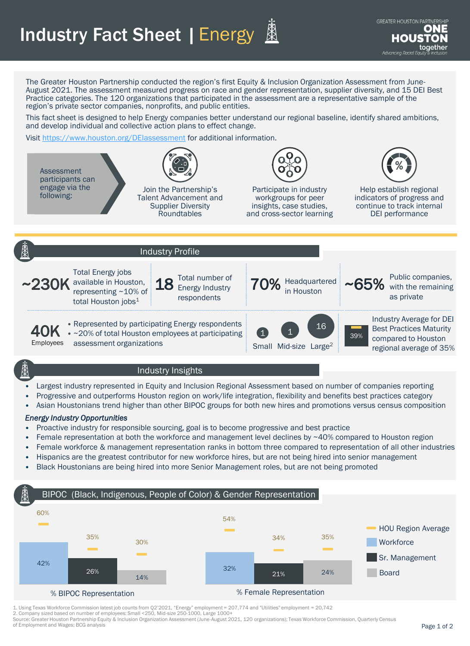## Industry Fact Sheet | Energy



The Greater Houston Partnership conducted the region's first Equity & Inclusion Organization Assessment from June-August 2021. The assessment measured progress on race and gender representation, supplier diversity, and 15 DEI Best Practice categories. The 120 organizations that participated in the assessment are a representative sample of the region's private sector companies, nonprofits, and public entities.

This fact sheet is designed to help Energy companies better understand our regional baseline, identify shared ambitions, and develop individual and collective action plans to effect change.

Visit <https://www.houston.org/DEIassessment> for additional information.



### Industry Insights

- Largest industry represented in Equity and Inclusion Regional Assessment based on number of companies reporting
- Progressive and outperforms Houston region on work/life integration, flexibility and benefits best practices category
- Asian Houstonians trend higher than other BIPOC groups for both new hires and promotions versus census composition

#### *Energy Industry Opportunities*

- Proactive industry for responsible sourcing, goal is to become progressive and best practice
- Female representation at both the workforce and management level declines by ~40% compared to Houston region
- Female workforce & management representation ranks in bottom three compared to representation of all other industries
- Hispanics are the greatest contributor for new workforce hires, but are not being hired into senior management
- Black Houstonians are being hired into more Senior Management roles, but are not being promoted

### BIPOC (Black, Indigenous, People of Color) & Gender Representation



1. Using Texas Workforce Commission latest job counts from Q2'2021, "Energy" employment = 207,774 and "Utilities" employment = 20,742

2. Company sized based on number of employees: Small <250, Mid-size 250-1000, Large 1000+

Source: Greater Houston Partnership Equity & Inclusion Organization Assessment (June-August 2021, 120 organizations); Texas Workforce Commission, Quarterly Census of Employment and Wages; BCG analysis